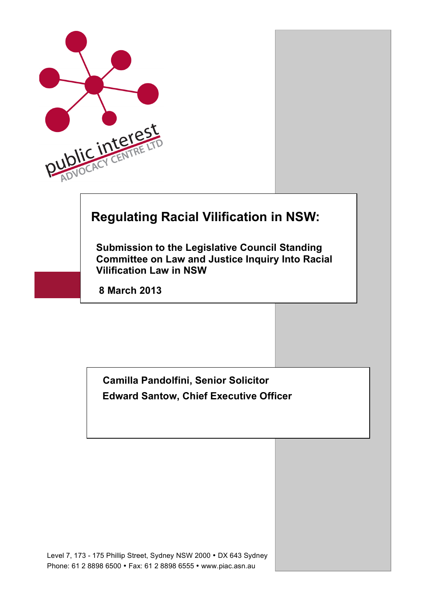

**Submission to the Legislative Council Standing Committee on Law and Justice Inquiry Into Racial Vilification Law in NSW**

**8 March 2013**

 **Camilla Pandolfini, Senior Solicitor Edward Santow, Chief Executive Officer**

Level 7, 173 - 175 Phillip Street, Sydney NSW 2000 • DX 643 Sydney Phone: 61 2 8898 6500 • Fax: 61 2 8898 6555 • www.piac.asn.au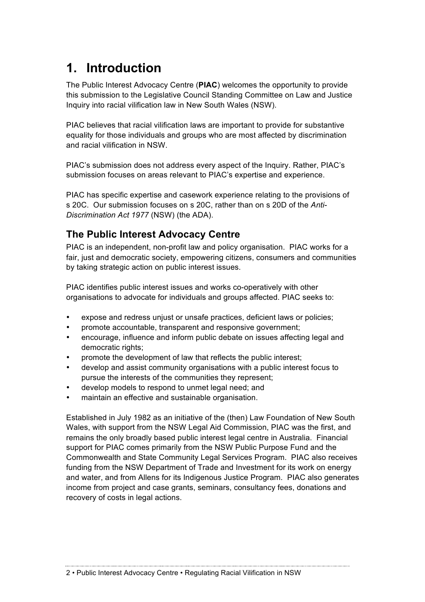## **1. Introduction**

The Public Interest Advocacy Centre (**PIAC**) welcomes the opportunity to provide this submission to the Legislative Council Standing Committee on Law and Justice Inquiry into racial vilification law in New South Wales (NSW).

PIAC believes that racial vilification laws are important to provide for substantive equality for those individuals and groups who are most affected by discrimination and racial vilification in NSW.

PIAC's submission does not address every aspect of the Inquiry. Rather, PIAC's submission focuses on areas relevant to PIAC's expertise and experience.

PIAC has specific expertise and casework experience relating to the provisions of s 20C. Our submission focuses on s 20C, rather than on s 20D of the *Anti-Discrimination Act 1977* (NSW) (the ADA).

#### **The Public Interest Advocacy Centre**

PIAC is an independent, non-profit law and policy organisation. PIAC works for a fair, just and democratic society, empowering citizens, consumers and communities by taking strategic action on public interest issues.

PIAC identifies public interest issues and works co-operatively with other organisations to advocate for individuals and groups affected. PIAC seeks to:

- expose and redress uniust or unsafe practices, deficient laws or policies;
- promote accountable, transparent and responsive government;
- encourage, influence and inform public debate on issues affecting legal and democratic rights:
- promote the development of law that reflects the public interest;
- develop and assist community organisations with a public interest focus to pursue the interests of the communities they represent;
- develop models to respond to unmet legal need; and
- maintain an effective and sustainable organisation.

Established in July 1982 as an initiative of the (then) Law Foundation of New South Wales, with support from the NSW Legal Aid Commission, PIAC was the first, and remains the only broadly based public interest legal centre in Australia. Financial support for PIAC comes primarily from the NSW Public Purpose Fund and the Commonwealth and State Community Legal Services Program. PIAC also receives funding from the NSW Department of Trade and Investment for its work on energy and water, and from Allens for its Indigenous Justice Program. PIAC also generates income from project and case grants, seminars, consultancy fees, donations and recovery of costs in legal actions.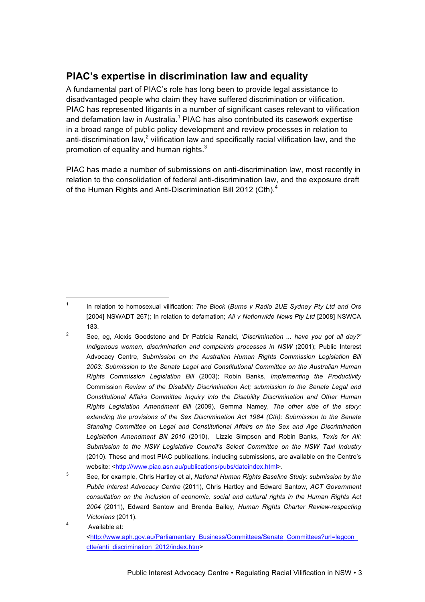#### **PIAC's expertise in discrimination law and equality**

A fundamental part of PIAC's role has long been to provide legal assistance to disadvantaged people who claim they have suffered discrimination or vilification. PIAC has represented litigants in a number of significant cases relevant to vilification and defamation law in Australia.<sup>1</sup> PIAC has also contributed its casework expertise in a broad range of public policy development and review processes in relation to anti-discrimination law,<sup>2</sup> vilification law and specifically racial vilification law, and the promotion of equality and human rights.<sup>3</sup>

PIAC has made a number of submissions on anti-discrimination law, most recently in relation to the consolidation of federal anti-discrimination law, and the exposure draft of the Human Rights and Anti-Discrimination Bill 2012 (Cth).<sup>4</sup>

 <sup>1</sup> In relation to homosexual vilification: *The Block* (*Burns v Radio 2UE Sydney Pty Ltd and Ors* [2004] NSWADT 267); In relation to defamation; *Ali v Nationwide News Pty Ltd* [2008] NSWCA 183.

<sup>2</sup> See, eg, Alexis Goodstone and Dr Patricia Ranald, *'Discrimination ... have you got all day?' Indigenous women, discrimination and complaints processes in NSW* (2001); Public Interest Advocacy Centre, *Submission on the Australian Human Rights Commission Legislation Bill 2003: Submission to the Senate Legal and Constitutional Committee on the Australian Human Rights Commission Legislation Bill* (2003); Robin Banks, *Implementing the Productivity* Commission *Review of the Disability Discrimination Act; submission to the Senate Legal and Constitutional Affairs Committee Inquiry into the Disability Discrimination and Other Human Rights Legislation Amendment Bill* (2009), Gemma Namey, *The other side of the story: extending the provisions of the Sex Discrimination Act 1984 (Cth): Submission to the Senate Standing Committee on Legal and Constitutional Affairs on the Sex and Age Discrimination Legislation Amendment Bill 2010* (2010), Lizzie Simpson and Robin Banks, *Taxis for All: Submission to the NSW Legislative Council's Select Committee on the NSW Taxi Industry* (2010). These and most PIAC publications, including submissions, are available on the Centre's website: <http:///www.piac.asn.au/publications/pubs/dateindex.html>.

<sup>3</sup> See, for example, Chris Hartley et al, *National Human Rights Baseline Study: submission by the Public Interest Advocacy Centre* (2011), Chris Hartley and Edward Santow, *ACT Government consultation on the inclusion of economic, social and cultural rights in the Human Rights Act 2004* (2011), Edward Santow and Brenda Bailey, *Human Rights Charter Review-respecting Victorians* (2011).

<sup>4</sup> Available at: <http://www.aph.gov.au/Parliamentary\_Business/Committees/Senate\_Committees?url=legcon\_ ctte/anti\_discrimination\_2012/index.htm>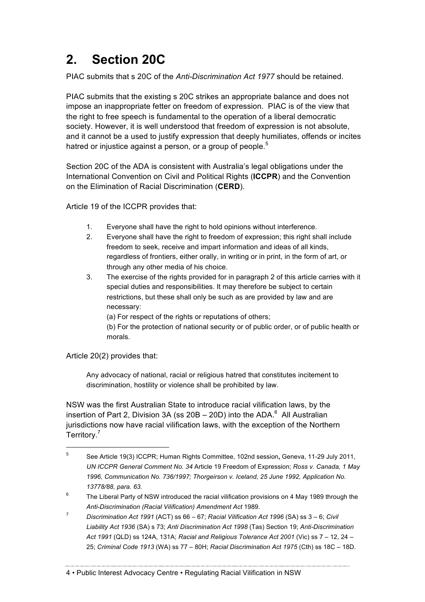## **2. Section 20C**

PIAC submits that s 20C of the *Anti-Discrimination Act 1977* should be retained.

PIAC submits that the existing s 20C strikes an appropriate balance and does not impose an inappropriate fetter on freedom of expression. PIAC is of the view that the right to free speech is fundamental to the operation of a liberal democratic society. However, it is well understood that freedom of expression is not absolute, and it cannot be a used to justify expression that deeply humiliates, offends or incites hatred or injustice against a person, or a group of people.<sup>5</sup>

Section 20C of the ADA is consistent with Australia's legal obligations under the International Convention on Civil and Political Rights (**ICCPR**) and the Convention on the Elimination of Racial Discrimination (**CERD**).

Article 19 of the ICCPR provides that:

- 1. Everyone shall have the right to hold opinions without interference.
- 2. Everyone shall have the right to freedom of expression; this right shall include freedom to seek, receive and impart information and ideas of all kinds, regardless of frontiers, either orally, in writing or in print, in the form of art, or through any other media of his choice.
- 3. The exercise of the rights provided for in paragraph 2 of this article carries with it special duties and responsibilities. It may therefore be subject to certain restrictions, but these shall only be such as are provided by law and are necessary:

(a) For respect of the rights or reputations of others;

(b) For the protection of national security or of public order, or of public health or morals.

Article 20(2) provides that:

Any advocacy of national, racial or religious hatred that constitutes incitement to discrimination, hostility or violence shall be prohibited by law.

NSW was the first Australian State to introduce racial vilification laws, by the insertion of Part 2, Division 3A (ss 20B – 20D) into the ADA. $^6$  All Australian jurisdictions now have racial vilification laws, with the exception of the Northern Territory.<sup>7</sup>

 <sup>5</sup> See Article 19(3) ICCPR; Human Rights Committee, 102nd session**,** Geneva, 11-29 July 2011, *UN ICCPR General Comment No. 34* Article 19 Freedom of Expression; *Ross v. Canada, 1 May 1996, Communication No. 736/1997; Thorgeirson v. Iceland, 25 June 1992, Application No. 13778/88, para. 63.*

 $6$  The Liberal Party of NSW introduced the racial vilification provisions on 4 May 1989 through the *Anti-Discrimination (Racial Vilification) Amendment Act* 1989.

<sup>7</sup> *Discrimination Act 1991* (ACT) ss 66 – 67; *Racial Vilification Act 1996* (SA) ss 3 – 6; *Civil Liability Act 1936* (SA) s 73; *Anti Discrimination Act 1998* (Tas) Section 19; *Anti-Discrimination Act 1991* (QLD) ss 124A, 131A; *Racial and Religious Tolerance Act 2001* (Vic) ss 7 – 12, 24 – 25; *Criminal Code 1913* (WA) ss 77 – 80H; *Racial Discrimination Act 1975* (Cth) ss 18C – 18D.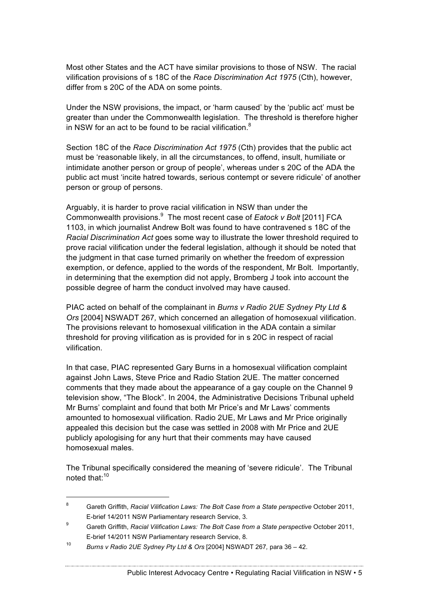Most other States and the ACT have similar provisions to those of NSW. The racial vilification provisions of s 18C of the *Race Discrimination Act 1975* (Cth), however, differ from s 20C of the ADA on some points.

Under the NSW provisions, the impact, or 'harm caused' by the 'public act' must be greater than under the Commonwealth legislation. The threshold is therefore higher in NSW for an act to be found to be racial vilification.<sup>8</sup>

Section 18C of the *Race Discrimination Act 1975* (Cth) provides that the public act must be 'reasonable likely, in all the circumstances, to offend, insult, humiliate or intimidate another person or group of people', whereas under s 20C of the ADA the public act must 'incite hatred towards, serious contempt or severe ridicule' of another person or group of persons.

Arguably, it is harder to prove racial vilification in NSW than under the Commonwealth provisions.<sup>9</sup> The most recent case of *Eatock v Bolt* [2011] FCA 1103, in which journalist Andrew Bolt was found to have contravened s 18C of the *Racial Discrimination Act* goes some way to illustrate the lower threshold required to prove racial vilification under the federal legislation, although it should be noted that the judgment in that case turned primarily on whether the freedom of expression exemption, or defence, applied to the words of the respondent, Mr Bolt. Importantly, in determining that the exemption did not apply, Bromberg J took into account the possible degree of harm the conduct involved may have caused.

PIAC acted on behalf of the complainant in *Burns v Radio 2UE Sydney Pty Ltd & Ors* [2004] NSWADT 267*,* which concerned an allegation of homosexual vilification. The provisions relevant to homosexual vilification in the ADA contain a similar threshold for proving vilification as is provided for in s 20C in respect of racial vilification.

In that case, PIAC represented Gary Burns in a homosexual vilification complaint against John Laws, Steve Price and Radio Station 2UE. The matter concerned comments that they made about the appearance of a gay couple on the Channel 9 television show, "The Block". In 2004, the Administrative Decisions Tribunal upheld Mr Burns' complaint and found that both Mr Price's and Mr Laws' comments amounted to homosexual vilification. Radio 2UE, Mr Laws and Mr Price originally appealed this decision but the case was settled in 2008 with Mr Price and 2UE publicly apologising for any hurt that their comments may have caused homosexual males.

The Tribunal specifically considered the meaning of 'severe ridicule'. The Tribunal noted that:<sup>10</sup>

 <sup>8</sup> Gareth Griffith, *Racial Vilification Laws: The Bolt Case from a State perspective* October 2011, E-brief 14/2011 NSW Parliamentary research Service, 3.

<sup>9</sup> Gareth Griffith, *Racial Vilification Laws: The Bolt Case from a State perspective* October 2011, E-brief 14/2011 NSW Parliamentary research Service, 8.

<sup>10</sup> *Burns v Radio 2UE Sydney Pty Ltd & Ors* [2004] NSWADT 267*,* para 36 – 42.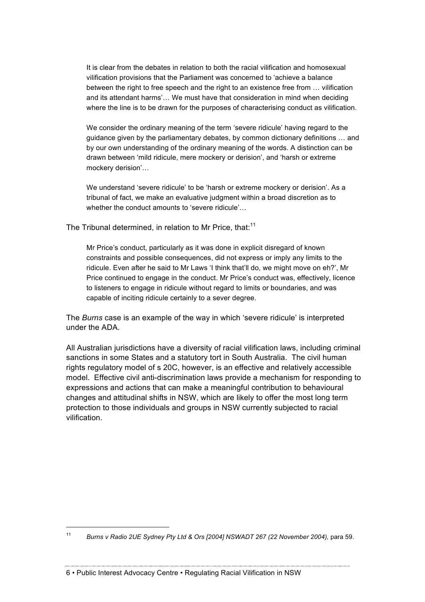It is clear from the debates in relation to both the racial vilification and homosexual vilification provisions that the Parliament was concerned to 'achieve a balance between the right to free speech and the right to an existence free from … vilification and its attendant harms'… We must have that consideration in mind when deciding where the line is to be drawn for the purposes of characterising conduct as vilification.

We consider the ordinary meaning of the term 'severe ridicule' having regard to the guidance given by the parliamentary debates, by common dictionary definitions … and by our own understanding of the ordinary meaning of the words. A distinction can be drawn between 'mild ridicule, mere mockery or derision', and 'harsh or extreme mockery derision'…

We understand 'severe ridicule' to be 'harsh or extreme mockery or derision'. As a tribunal of fact, we make an evaluative judgment within a broad discretion as to whether the conduct amounts to 'severe ridicule'…

The Tribunal determined, in relation to Mr Price, that:<sup>11</sup>

Mr Price's conduct, particularly as it was done in explicit disregard of known constraints and possible consequences, did not express or imply any limits to the ridicule. Even after he said to Mr Laws 'I think that'll do, we might move on eh?', Mr Price continued to engage in the conduct. Mr Price's conduct was, effectively, licence to listeners to engage in ridicule without regard to limits or boundaries, and was capable of inciting ridicule certainly to a sever degree.

The *Burns* case is an example of the way in which 'severe ridicule' is interpreted under the ADA*.*

All Australian jurisdictions have a diversity of racial vilification laws, including criminal sanctions in some States and a statutory tort in South Australia. The civil human rights regulatory model of s 20C, however, is an effective and relatively accessible model. Effective civil anti-discrimination laws provide a mechanism for responding to expressions and actions that can make a meaningful contribution to behavioural changes and attitudinal shifts in NSW, which are likely to offer the most long term protection to those individuals and groups in NSW currently subjected to racial vilification.

 <sup>11</sup> *Burns v Radio 2UE Sydney Pty Ltd & Ors [2004] NSWADT 267 (22 November 2004),* para 59.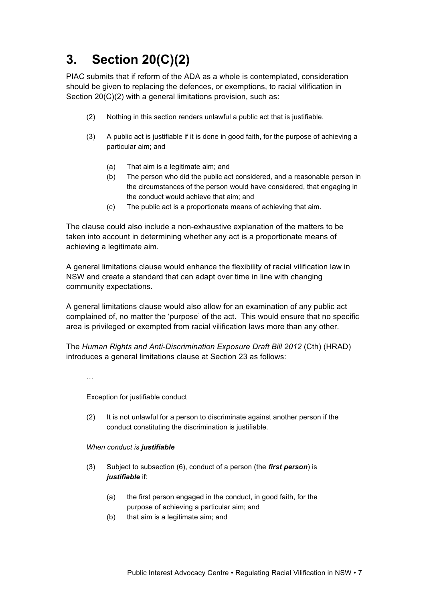# **3. Section 20(C)(2)**

PIAC submits that if reform of the ADA as a whole is contemplated, consideration should be given to replacing the defences, or exemptions, to racial vilification in Section 20(C)(2) with a general limitations provision, such as:

- (2) Nothing in this section renders unlawful a public act that is justifiable.
- (3) A public act is justifiable if it is done in good faith, for the purpose of achieving a particular aim; and
	- (a) That aim is a legitimate aim; and
	- (b) The person who did the public act considered, and a reasonable person in the circumstances of the person would have considered, that engaging in the conduct would achieve that aim; and
	- (c) The public act is a proportionate means of achieving that aim.

The clause could also include a non-exhaustive explanation of the matters to be taken into account in determining whether any act is a proportionate means of achieving a legitimate aim.

A general limitations clause would enhance the flexibility of racial vilification law in NSW and create a standard that can adapt over time in line with changing community expectations.

A general limitations clause would also allow for an examination of any public act complained of, no matter the 'purpose' of the act. This would ensure that no specific area is privileged or exempted from racial vilification laws more than any other.

The *Human Rights and Anti-Discrimination Exposure Draft Bill 2012* (Cth) (HRAD) introduces a general limitations clause at Section 23 as follows:

…

Exception for justifiable conduct

(2) It is not unlawful for a person to discriminate against another person if the conduct constituting the discrimination is justifiable.

#### *When conduct is justifiable*

- (3) Subject to subsection (6), conduct of a person (the *first person*) is *justifiable* if:
	- (a) the first person engaged in the conduct, in good faith, for the purpose of achieving a particular aim; and
	- (b) that aim is a legitimate aim; and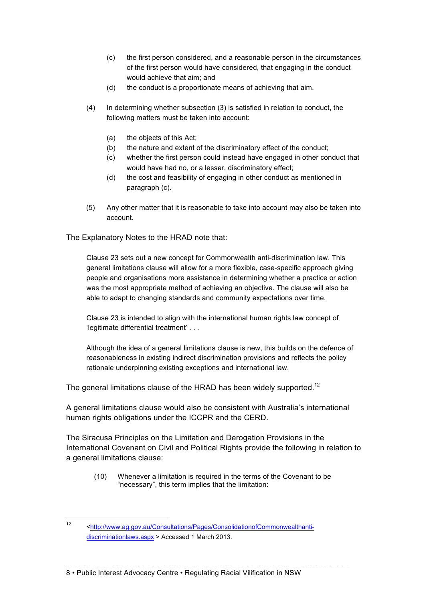- (c) the first person considered, and a reasonable person in the circumstances of the first person would have considered, that engaging in the conduct would achieve that aim; and
- (d) the conduct is a proportionate means of achieving that aim.
- (4) In determining whether subsection (3) is satisfied in relation to conduct, the following matters must be taken into account:
	- (a) the objects of this Act;
	- (b) the nature and extent of the discriminatory effect of the conduct;
	- (c) whether the first person could instead have engaged in other conduct that would have had no, or a lesser, discriminatory effect;
	- (d) the cost and feasibility of engaging in other conduct as mentioned in paragraph (c).
- (5) Any other matter that it is reasonable to take into account may also be taken into account.

The Explanatory Notes to the HRAD note that:

Clause 23 sets out a new concept for Commonwealth anti-discrimination law. This general limitations clause will allow for a more flexible, case-specific approach giving people and organisations more assistance in determining whether a practice or action was the most appropriate method of achieving an objective. The clause will also be able to adapt to changing standards and community expectations over time.

Clause 23 is intended to align with the international human rights law concept of 'legitimate differential treatment' . . .

Although the idea of a general limitations clause is new, this builds on the defence of reasonableness in existing indirect discrimination provisions and reflects the policy rationale underpinning existing exceptions and international law.

The general limitations clause of the HRAD has been widely supported.<sup>12</sup>

A general limitations clause would also be consistent with Australia's international human rights obligations under the ICCPR and the CERD.

The Siracusa Principles on the Limitation and Derogation Provisions in the International Covenant on Civil and Political Rights provide the following in relation to a general limitations clause:

(10) Whenever a limitation is required in the terms of the Covenant to be "necessary", this term implies that the limitation:

 <sup>12</sup> <http://www.ag.gov.au/Consultations/Pages/ConsolidationofCommonwealthantidiscriminationlaws.aspx > Accessed 1 March 2013.

<sup>8</sup> • Public Interest Advocacy Centre • Regulating Racial Vilification in NSW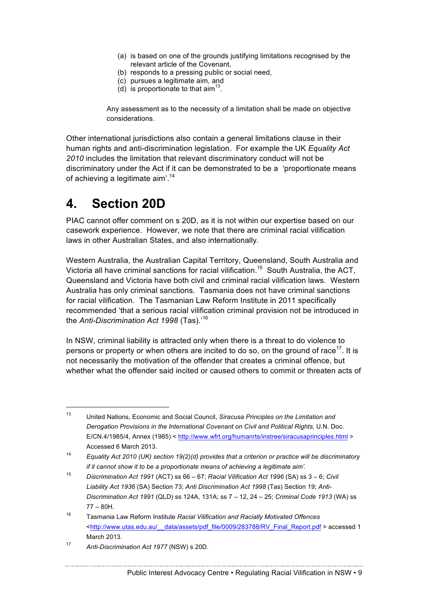- (a) is based on one of the grounds justifying limitations recognised by the relevant article of the Covenant,
- (b) responds to a pressing public or social need,
- (c) pursues a legitimate aim, and
- (d) is proportionate to that  $\text{aim}^{13}$ .

Any assessment as to the necessity of a limitation shall be made on objective considerations.

Other international jurisdictions also contain a general limitations clause in their human rights and anti-discrimination legislation. For example the UK *Equality Act 2010* includes the limitation that relevant discriminatory conduct will not be discriminatory under the Act if it can be demonstrated to be a 'proportionate means of achieving a legitimate aim'.<sup>14</sup>

### **4. Section 20D**

PIAC cannot offer comment on s 20D, as it is not within our expertise based on our casework experience. However, we note that there are criminal racial vilification laws in other Australian States, and also internationally.

Western Australia, the Australian Capital Territory, Queensland, South Australia and Victoria all have criminal sanctions for racial vilification.<sup>15</sup> South Australia, the ACT, Queensland and Victoria have both civil and criminal racial vilification laws. Western Australia has only criminal sanctions. Tasmania does not have criminal sanctions for racial vilification. The Tasmanian Law Reform Institute in 2011 specifically recommended 'that a serious racial vilification criminal provision not be introduced in the *Anti-Discrimination Act 1998* (Tas).' 16

In NSW, criminal liability is attracted only when there is a threat to do violence to persons or property or when others are incited to do so, on the ground of race<sup>17</sup>. It is not necessarily the motivation of the offender that creates a criminal offence, but whether what the offender said incited or caused others to commit or threaten acts of

 <sup>13</sup> United Nations, Economic and Social Council, *Siracusa Principles on the Limitation and Derogation Provisions in the International Covenant on Civil and Political Rights,* U.N. Doc. E/CN.4/1985/4, Annex (1985) < http://www.wfrt.org/humanrts/instree/siracusaprinciples.html > Accessed 6 March 2013.

<sup>14</sup> *Equality Act 2010 (UK) section 19(2)(d) provides that a criterion or practice will be discriminatory if it cannot show it to be a proportionate means of achieving a legitimate aim'.*

<sup>15</sup> *Discrimination Act 1991* (ACT) ss 66 – 67; *Racial Vilification Act 1996* (SA) ss 3 – 6; *Civil Liability Act 1936* (SA) Section 73; *Anti Discrimination Act 1998* (Tas) Section 19; *Anti-Discrimination Act 1991* (QLD) ss 124A, 131A; ss 7 – 12, 24 – 25; *Criminal Code 1913* (WA) ss 77 – 80H.

<sup>16</sup> Tasmania Law Reform Institute *Racial Vilification and Racially Motivated Offences*  <http://www.utas.edu.au/\_\_data/assets/pdf\_file/0009/283788/RV\_Final\_Report.pdf > accessed 1 March 2013.

<sup>17</sup> *Anti-Discrimination Act 1977* (NSW) s 20D.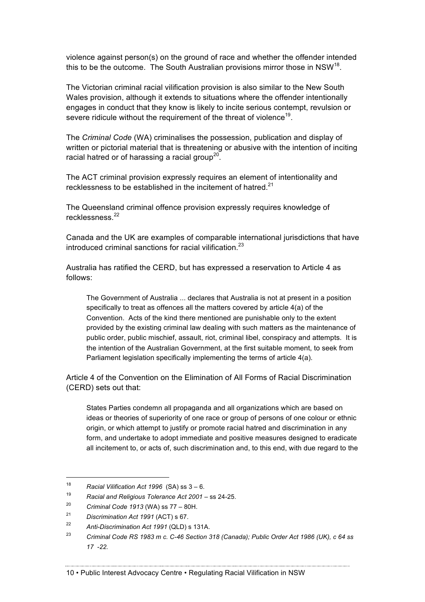violence against person(s) on the ground of race and whether the offender intended this to be the outcome. The South Australian provisions mirror those in NSW<sup>18</sup>.

The Victorian criminal racial vilification provision is also similar to the New South Wales provision, although it extends to situations where the offender intentionally engages in conduct that they know is likely to incite serious contempt, revulsion or severe ridicule without the requirement of the threat of violence<sup>19</sup>.

The *Criminal Code* (WA) criminalises the possession, publication and display of written or pictorial material that is threatening or abusive with the intention of inciting racial hatred or of harassing a racial group<sup>20</sup>.

The ACT criminal provision expressly requires an element of intentionality and recklessness to be established in the incitement of hatred.<sup>21</sup>

The Queensland criminal offence provision expressly requires knowledge of recklessness.22

Canada and the UK are examples of comparable international jurisdictions that have introduced criminal sanctions for racial vilification. $^{23}$ 

Australia has ratified the CERD, but has expressed a reservation to Article 4 as follows:

The Government of Australia ... declares that Australia is not at present in a position specifically to treat as offences all the matters covered by article 4(a) of the Convention. Acts of the kind there mentioned are punishable only to the extent provided by the existing criminal law dealing with such matters as the maintenance of public order, public mischief, assault, riot, criminal libel, conspiracy and attempts. It is the intention of the Australian Government, at the first suitable moment, to seek from Parliament legislation specifically implementing the terms of article 4(a).

Article 4 of the Convention on the Elimination of All Forms of Racial Discrimination (CERD) sets out that:

States Parties condemn all propaganda and all organizations which are based on ideas or theories of superiority of one race or group of persons of one colour or ethnic origin, or which attempt to justify or promote racial hatred and discrimination in any form, and undertake to adopt immediate and positive measures designed to eradicate all incitement to, or acts of, such discrimination and, to this end, with due regard to the

 <sup>18</sup> *Racial Vilification Act 1996* (SA) ss 3 – 6.

<sup>19</sup> *Racial and Religious Tolerance Act 2001* – ss 24-25.

<sup>20</sup> *Criminal Code 1913* (WA) ss 77 – 80H.

<sup>21</sup> *Discrimination Act 1991* (ACT) s 67.

<sup>22</sup> *Anti-Discrimination Act 1991* (QLD) s 131A.

<sup>23</sup> *Criminal Code RS 1983 m c. C-46 Section 318 (Canada); Public Order Act 1986 (UK), c 64 ss 17 -22.*

<sup>10</sup> • Public Interest Advocacy Centre • Regulating Racial Vilification in NSW